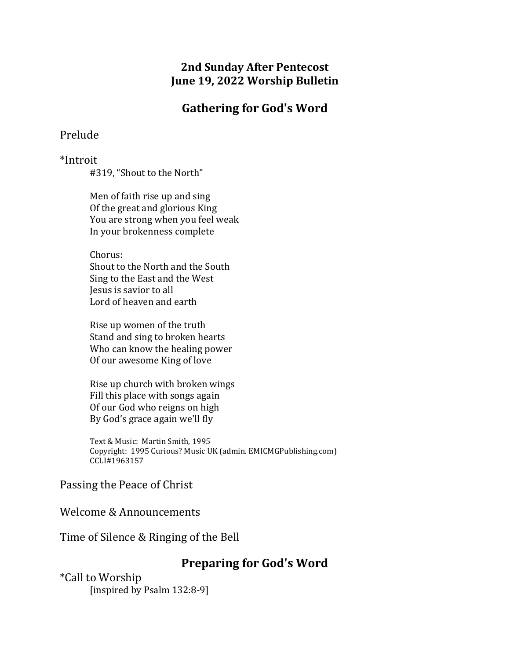## **2nd Sunday After Pentecost June 19, 2022 Worship Bulletin**

# **Gathering for God**'**s Word**

## Prelude

## \*Introit

#319, "Shout to the North"

Men of faith rise up and sing Of the great and glorious King You are strong when you feel weak In your brokenness complete

Chorus:

Shout to the North and the South Sing to the East and the West Jesus is savior to all Lord of heaven and earth

Rise up women of the truth Stand and sing to broken hearts Who can know the healing power Of our awesome King of love

Rise up church with broken wings Fill this place with songs again Of our God who reigns on high By God's grace again we'll fly

Text & Music: Martin Smith, 1995 Copyright: 1995 Curious? Music UK (admin. EMICMGPublishing.com) CCLI#1963157

## Passing the Peace of Christ

## Welcome & Announcements

Time of Silence & Ringing of the Bell

# **Preparing for God's Word**

\*Call to Worship [inspired by Psalm 132:8-9]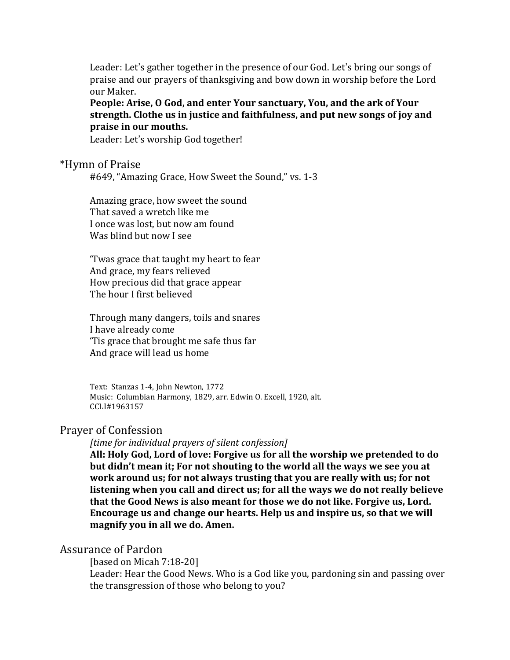Leader: Let's gather together in the presence of our God. Let's bring our songs of praise and our prayers of thanksgiving and bow down in worship before the Lord our Maker.

### **People: Arise, O God, and enter Your sanctuary, You, and the ark of Your strength. Clothe us in justice and faithfulness, and put new songs of joy and praise in our mouths.**

Leader: Let's worship God together!

#### \*Hymn of Praise

#649, "Amazing Grace, How Sweet the Sound," vs. 1-3

Amazing grace, how sweet the sound That saved a wretch like me I once was lost, but now am found Was blind but now I see

'Twas grace that taught my heart to fear And grace, my fears relieved How precious did that grace appear The hour I first believed

Through many dangers, toils and snares I have already come 'Tis grace that brought me safe thus far And grace will lead us home

Text: Stanzas 1-4, John Newton, 1772 Music: Columbian Harmony, 1829, arr. Edwin O. Excell, 1920, alt. CCLI#1963157

#### Prayer of Confession

#### *[time for individual prayers of silent confession]*

**All: Holy God, Lord of love: Forgive us for all the worship we pretended to do but didn't mean it; For not shouting to the world all the ways we see you at work around us; for not always trusting that you are really with us; for not listening when you call and direct us; for all the ways we do not really believe that the Good News is also meant for those we do not like. Forgive us, Lord. Encourage us and change our hearts. Help us and inspire us, so that we will magnify you in all we do. Amen.**

### Assurance of Pardon

[based on Micah 7:18-20] Leader: Hear the Good News. Who is a God like you, pardoning sin and passing over the transgression of those who belong to you?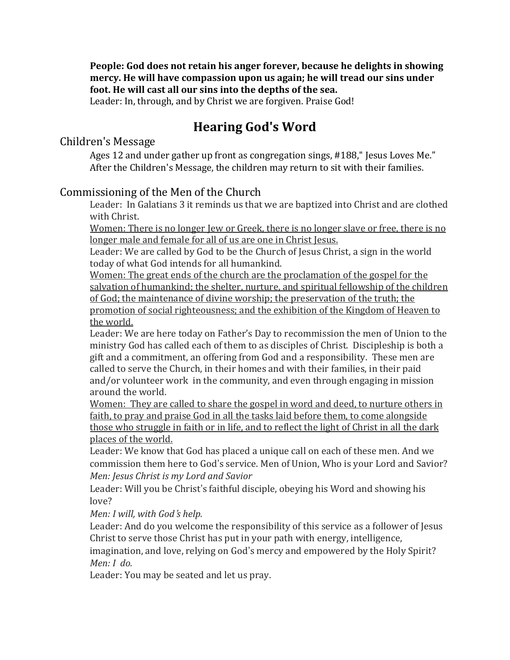**People: God does not retain his anger forever, because he delights in showing mercy. He will have compassion upon us again; he will tread our sins under foot. He will cast all our sins into the depths of the sea.** 

Leader: In, through, and by Christ we are forgiven. Praise God!

# **Hearing God's Word**

### Children's Message

Ages 12 and under gather up front as congregation sings, #188," Jesus Loves Me." After the Children's Message, the children may return to sit with their families.

## Commissioning of the Men of the Church

Leader: In Galatians 3 it reminds us that we are baptized into Christ and are clothed with Christ.

Women: There is no longer Jew or Greek, there is no longer slave or free, there is no longer male and female for all of us are one in Christ Jesus.

Leader: We are called by God to be the Church of Jesus Christ, a sign in the world today of what God intends for all humankind.

Women: The great ends of the church are the proclamation of the gospel for the salvation of humankind; the shelter, nurture, and spiritual fellowship of the children of God; the maintenance of divine worship; the preservation of the truth; the promotion of social righteousness; and the exhibition of the Kingdom of Heaven to the world.

Leader: We are here today on Father's Day to recommission the men of Union to the ministry God has called each of them to as disciples of Christ. Discipleship is both a gift and a commitment, an offering from God and a responsibility. These men are called to serve the Church, in their homes and with their families, in their paid and/or volunteer work in the community, and even through engaging in mission around the world.

Women: They are called to share the gospel in word and deed, to nurture others in faith, to pray and praise God in all the tasks laid before them, to come alongside those who struggle in faith or in life, and to reflect the light of Christ in all the dark places of the world.

Leader: We know that God has placed a unique call on each of these men. And we commission them here to God's service. Men of Union, Who is your Lord and Savior? *Men: Jesus Christ is my Lord and Savior*

Leader: Will you be Christ's faithful disciple, obeying his Word and showing his love?

### *Men: I will, with God*'*s help.*

Leader: And do you welcome the responsibility of this service as a follower of Jesus Christ to serve those Christ has put in your path with energy, intelligence,

imagination, and love, relying on God's mercy and empowered by the Holy Spirit? *Men: I do.*

Leader: You may be seated and let us pray.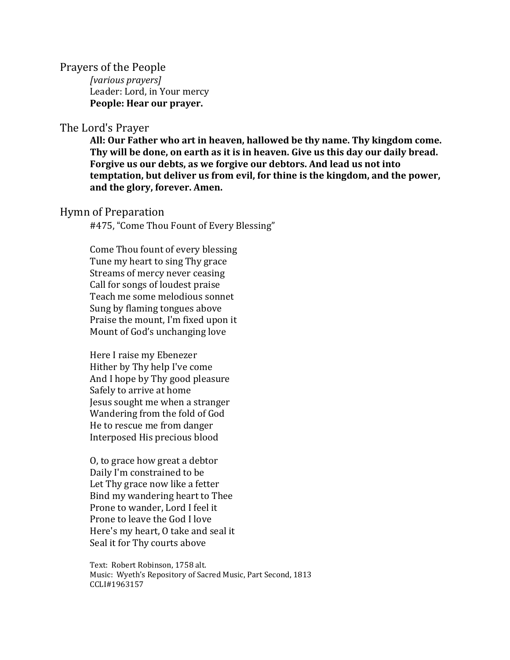#### Prayers of the People

*[various prayers]* Leader: Lord, in Your mercy **People: Hear our prayer.**

#### The Lord's Prayer

**All: Our Father who art in heaven, hallowed be thy name. Thy kingdom come. Thy will be done, on earth as it is in heaven. Give us this day our daily bread. Forgive us our debts, as we forgive our debtors. And lead us not into temptation, but deliver us from evil, for thine is the kingdom, and the power, and the glory, forever. Amen.**

### Hymn of Preparation

#475, "Come Thou Fount of Every Blessing"

Come Thou fount of every blessing Tune my heart to sing Thy grace Streams of mercy never ceasing Call for songs of loudest praise Teach me some melodious sonnet Sung by flaming tongues above Praise the mount, I'm fixed upon it Mount of God's unchanging love

Here I raise my Ebenezer Hither by Thy help I've come And I hope by Thy good pleasure Safely to arrive at home Jesus sought me when a stranger Wandering from the fold of God He to rescue me from danger Interposed His precious blood

O, to grace how great a debtor Daily I'm constrained to be Let Thy grace now like a fetter Bind my wandering heart to Thee Prone to wander, Lord I feel it Prone to leave the God I love Here's my heart, O take and seal it Seal it for Thy courts above

Text: Robert Robinson, 1758 alt. Music: Wyeth's Repository of Sacred Music, Part Second, 1813 CCLI#1963157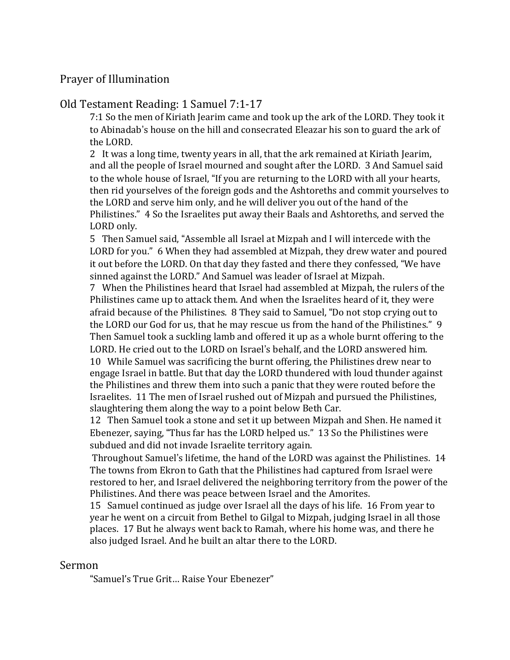## Prayer of Illumination

## Old Testament Reading: 1 Samuel 7:1-17

7:1 So the men of Kiriath Jearim came and took up the ark of the LORD. They took it to Abinadab's house on the hill and consecrated Eleazar his son to guard the ark of the LORD.

2 It was a long time, twenty years in all, that the ark remained at Kiriath Jearim, and all the people of Israel mourned and sought after the LORD. 3 And Samuel said to the whole house of Israel, "If you are returning to the LORD with all your hearts, then rid yourselves of the foreign gods and the Ashtoreths and commit yourselves to the LORD and serve him only, and he will deliver you out of the hand of the Philistines." 4 So the Israelites put away their Baals and Ashtoreths, and served the LORD only.

5 Then Samuel said, "Assemble all Israel at Mizpah and I will intercede with the LORD for you." 6 When they had assembled at Mizpah, they drew water and poured it out before the LORD. On that day they fasted and there they confessed, "We have sinned against the LORD." And Samuel was leader of Israel at Mizpah.

7 When the Philistines heard that Israel had assembled at Mizpah, the rulers of the Philistines came up to attack them. And when the Israelites heard of it, they were afraid because of the Philistines. 8 They said to Samuel, "Do not stop crying out to the LORD our God for us, that he may rescue us from the hand of the Philistines." 9 Then Samuel took a suckling lamb and offered it up as a whole burnt offering to the LORD. He cried out to the LORD on Israel's behalf, and the LORD answered him.

10 While Samuel was sacrificing the burnt offering, the Philistines drew near to engage Israel in battle. But that day the LORD thundered with loud thunder against the Philistines and threw them into such a panic that they were routed before the Israelites. 11 The men of Israel rushed out of Mizpah and pursued the Philistines, slaughtering them along the way to a point below Beth Car.

12 Then Samuel took a stone and set it up between Mizpah and Shen. He named it Ebenezer, saying, "Thus far has the LORD helped us." 13 So the Philistines were subdued and did not invade Israelite territory again.

Throughout Samuel's lifetime, the hand of the LORD was against the Philistines. 14 The towns from Ekron to Gath that the Philistines had captured from Israel were restored to her, and Israel delivered the neighboring territory from the power of the Philistines. And there was peace between Israel and the Amorites.

15 Samuel continued as judge over Israel all the days of his life. 16 From year to year he went on a circuit from Bethel to Gilgal to Mizpah, judging Israel in all those places. 17 But he always went back to Ramah, where his home was, and there he also judged Israel. And he built an altar there to the LORD.

### Sermon

"Samuel's True Grit… Raise Your Ebenezer"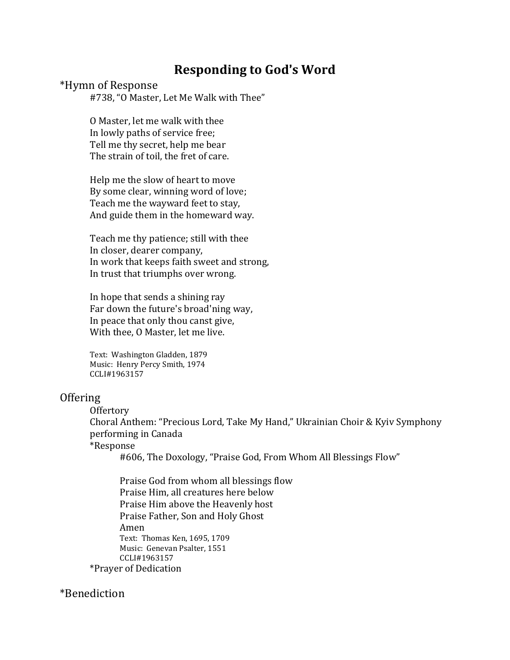# **Responding to God**'**s Word**

### \*Hymn of Response

#738, "O Master, Let Me Walk with Thee"

O Master, let me walk with thee In lowly paths of service free; Tell me thy secret, help me bear The strain of toil, the fret of care.

Help me the slow of heart to move By some clear, winning word of love; Teach me the wayward feet to stay, And guide them in the homeward way.

Teach me thy patience; still with thee In closer, dearer company, In work that keeps faith sweet and strong, In trust that triumphs over wrong.

In hope that sends a shining ray Far down the future's broad'ning way, In peace that only thou canst give, With thee, O Master, let me live.

Text: Washington Gladden, 1879 Music: Henry Percy Smith, 1974 CCLI#1963157

### **Offering**

**Offertory** 

Choral Anthem: "Precious Lord, Take My Hand," Ukrainian Choir & Kyiv Symphony performing in Canada

\*Response

#606, The Doxology, "Praise God, From Whom All Blessings Flow"

Praise God from whom all blessings flow Praise Him, all creatures here below Praise Him above the Heavenly host Praise Father, Son and Holy Ghost Amen Text: Thomas Ken, 1695, 1709 Music: Genevan Psalter, 1551 CCLI#1963157 \*Prayer of Dedication

### \*Benediction